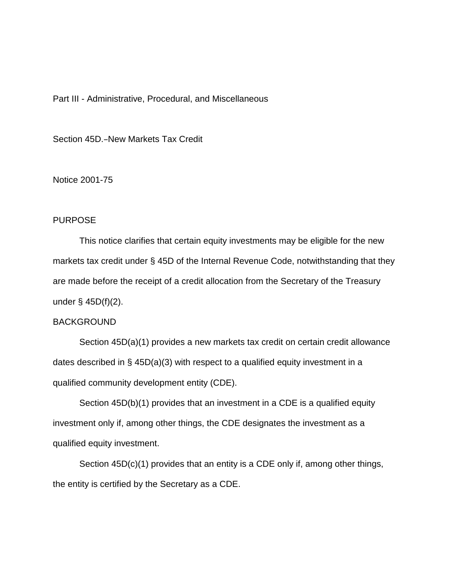## Part III - Administrative, Procedural, and Miscellaneous

Section 45D.–New Markets Tax Credit

Notice 2001-75

## PURPOSE

This notice clarifies that certain equity investments may be eligible for the new markets tax credit under § 45D of the Internal Revenue Code, notwithstanding that they are made before the receipt of a credit allocation from the Secretary of the Treasury under  $\S$  45D(f)(2).

## BACKGROUND

Section 45D(a)(1) provides a new markets tax credit on certain credit allowance dates described in § 45D(a)(3) with respect to a qualified equity investment in a qualified community development entity (CDE).

Section 45D(b)(1) provides that an investment in a CDE is a qualified equity investment only if, among other things, the CDE designates the investment as a qualified equity investment.

Section 45D(c)(1) provides that an entity is a CDE only if, among other things, the entity is certified by the Secretary as a CDE.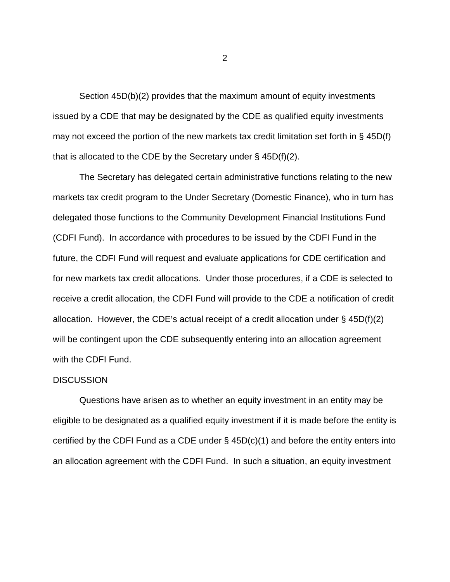Section 45D(b)(2) provides that the maximum amount of equity investments issued by a CDE that may be designated by the CDE as qualified equity investments may not exceed the portion of the new markets tax credit limitation set forth in § 45D(f) that is allocated to the CDE by the Secretary under  $\S$  45D(f)(2).

The Secretary has delegated certain administrative functions relating to the new markets tax credit program to the Under Secretary (Domestic Finance), who in turn has delegated those functions to the Community Development Financial Institutions Fund (CDFI Fund). In accordance with procedures to be issued by the CDFI Fund in the future, the CDFI Fund will request and evaluate applications for CDE certification and for new markets tax credit allocations. Under those procedures, if a CDE is selected to receive a credit allocation, the CDFI Fund will provide to the CDE a notification of credit allocation. However, the CDE's actual receipt of a credit allocation under  $\S$  45D(f)(2) will be contingent upon the CDE subsequently entering into an allocation agreement with the CDFI Fund.

## **DISCUSSION**

Questions have arisen as to whether an equity investment in an entity may be eligible to be designated as a qualified equity investment if it is made before the entity is certified by the CDFI Fund as a CDE under § 45D(c)(1) and before the entity enters into an allocation agreement with the CDFI Fund. In such a situation, an equity investment

2